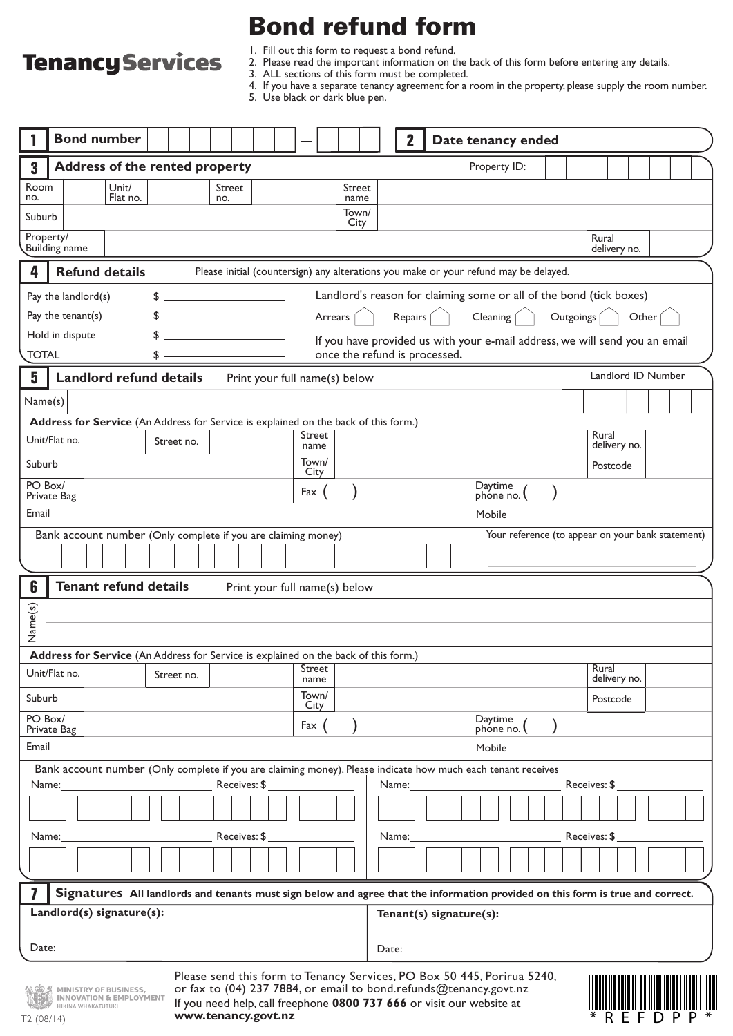# Bond refund form

# **Tenancy Services**

1. Fill out this form to request a bond refund.

2. Please read the important information on the back of this form before entering any details.

3. ALL sections of this form must be completed.

4. If you have a separate tenancy agreement for a room in the property, please supply the room number.

|  |  | 5. Use black or dark blue pen. |  |  |  |  |  |
|--|--|--------------------------------|--|--|--|--|--|
|--|--|--------------------------------|--|--|--|--|--|

|                        |                                                                                                             | <b>Bond number</b>                                                                                                             |                   |  |    |                                                                                                                                                                                                                                                                                                                     |  |               |                                                                                              |  |  |                |         |                                                                                                              |                         |       | $\mathbf{2}$ |  |  | Date tenancy ended   |  |  |  |              |                       |       |                                                   |  |  |
|------------------------|-------------------------------------------------------------------------------------------------------------|--------------------------------------------------------------------------------------------------------------------------------|-------------------|--|----|---------------------------------------------------------------------------------------------------------------------------------------------------------------------------------------------------------------------------------------------------------------------------------------------------------------------|--|---------------|----------------------------------------------------------------------------------------------|--|--|----------------|---------|--------------------------------------------------------------------------------------------------------------|-------------------------|-------|--------------|--|--|----------------------|--|--|--|--------------|-----------------------|-------|---------------------------------------------------|--|--|
| 3                      |                                                                                                             | <b>Address of the rented property</b>                                                                                          |                   |  |    |                                                                                                                                                                                                                                                                                                                     |  |               |                                                                                              |  |  |                |         |                                                                                                              |                         |       |              |  |  | Property ID:         |  |  |  |              |                       |       |                                                   |  |  |
| Room<br>no.            |                                                                                                             |                                                                                                                                | Unit/<br>Flat no. |  |    |                                                                                                                                                                                                                                                                                                                     |  | Street<br>no. |                                                                                              |  |  |                |         | Street<br>name                                                                                               |                         |       |              |  |  |                      |  |  |  |              |                       |       |                                                   |  |  |
| Suburb                 |                                                                                                             |                                                                                                                                |                   |  |    |                                                                                                                                                                                                                                                                                                                     |  |               |                                                                                              |  |  |                |         | Town/<br>City                                                                                                |                         |       |              |  |  |                      |  |  |  |              |                       |       |                                                   |  |  |
| Property/              |                                                                                                             | <b>Building name</b>                                                                                                           |                   |  |    |                                                                                                                                                                                                                                                                                                                     |  |               |                                                                                              |  |  |                |         |                                                                                                              |                         |       |              |  |  |                      |  |  |  |              | Rural<br>delivery no. |       |                                                   |  |  |
| 4                      |                                                                                                             | <b>Refund details</b>                                                                                                          |                   |  |    |                                                                                                                                                                                                                                                                                                                     |  |               | Please initial (countersign) any alterations you make or your refund may be delayed.         |  |  |                |         |                                                                                                              |                         |       |              |  |  |                      |  |  |  |              |                       |       |                                                   |  |  |
|                        | Landlord's reason for claiming some or all of the bond (tick boxes)<br>Pay the landlord(s)<br>$\frac{1}{2}$ |                                                                                                                                |                   |  |    |                                                                                                                                                                                                                                                                                                                     |  |               |                                                                                              |  |  |                |         |                                                                                                              |                         |       |              |  |  |                      |  |  |  |              |                       |       |                                                   |  |  |
|                        |                                                                                                             | Pay the tenant(s)                                                                                                              |                   |  |    | $\frac{1}{2}$ $\frac{1}{2}$ $\frac{1}{2}$ $\frac{1}{2}$ $\frac{1}{2}$ $\frac{1}{2}$ $\frac{1}{2}$ $\frac{1}{2}$ $\frac{1}{2}$ $\frac{1}{2}$ $\frac{1}{2}$ $\frac{1}{2}$ $\frac{1}{2}$ $\frac{1}{2}$ $\frac{1}{2}$ $\frac{1}{2}$ $\frac{1}{2}$ $\frac{1}{2}$ $\frac{1}{2}$ $\frac{1}{2}$ $\frac{1}{2}$ $\frac{1}{2}$ |  |               |                                                                                              |  |  |                | Arrears |                                                                                                              |                         |       | Repairs [    |  |  | Cleaning             |  |  |  | Outgoings [  |                       | Other |                                                   |  |  |
| <b>TOTAL</b>           |                                                                                                             | Hold in dispute                                                                                                                |                   |  | \$ |                                                                                                                                                                                                                                                                                                                     |  |               |                                                                                              |  |  |                |         | If you have provided us with your e-mail address, we will send you an email<br>once the refund is processed. |                         |       |              |  |  |                      |  |  |  |              |                       |       |                                                   |  |  |
| 5                      |                                                                                                             | <b>Landlord refund details</b>                                                                                                 |                   |  |    |                                                                                                                                                                                                                                                                                                                     |  |               | Print your full name(s) below                                                                |  |  |                |         |                                                                                                              |                         |       |              |  |  |                      |  |  |  |              |                       |       | Landlord ID Number                                |  |  |
| Name(s)                |                                                                                                             |                                                                                                                                |                   |  |    |                                                                                                                                                                                                                                                                                                                     |  |               |                                                                                              |  |  |                |         |                                                                                                              |                         |       |              |  |  |                      |  |  |  |              |                       |       |                                                   |  |  |
|                        |                                                                                                             | Address for Service (An Address for Service is explained on the back of this form.)                                            |                   |  |    |                                                                                                                                                                                                                                                                                                                     |  |               |                                                                                              |  |  |                |         |                                                                                                              |                         |       |              |  |  |                      |  |  |  |              |                       |       |                                                   |  |  |
| Unit/Flat no.          |                                                                                                             |                                                                                                                                |                   |  |    | Street no.                                                                                                                                                                                                                                                                                                          |  |               |                                                                                              |  |  | Street<br>name |         |                                                                                                              |                         |       |              |  |  |                      |  |  |  |              | Rural<br>delivery no. |       |                                                   |  |  |
| Suburb                 |                                                                                                             |                                                                                                                                |                   |  |    |                                                                                                                                                                                                                                                                                                                     |  |               |                                                                                              |  |  | Town/<br>City  |         |                                                                                                              |                         |       |              |  |  |                      |  |  |  |              | Postcode              |       |                                                   |  |  |
| PO Box/<br>Private Bag |                                                                                                             |                                                                                                                                |                   |  |    |                                                                                                                                                                                                                                                                                                                     |  |               |                                                                                              |  |  | Fax            |         |                                                                                                              |                         |       |              |  |  | Daytime<br>phone no. |  |  |  |              |                       |       |                                                   |  |  |
| Email                  |                                                                                                             |                                                                                                                                |                   |  |    |                                                                                                                                                                                                                                                                                                                     |  |               |                                                                                              |  |  |                |         |                                                                                                              |                         |       |              |  |  | Mobile               |  |  |  |              |                       |       |                                                   |  |  |
|                        |                                                                                                             | Bank account number (Only complete if you are claiming money)                                                                  |                   |  |    |                                                                                                                                                                                                                                                                                                                     |  |               |                                                                                              |  |  |                |         |                                                                                                              |                         |       |              |  |  |                      |  |  |  |              |                       |       | Your reference (to appear on your bank statement) |  |  |
|                        |                                                                                                             |                                                                                                                                |                   |  |    |                                                                                                                                                                                                                                                                                                                     |  |               |                                                                                              |  |  |                |         |                                                                                                              |                         |       |              |  |  |                      |  |  |  |              |                       |       |                                                   |  |  |
| 6                      |                                                                                                             | <b>Tenant refund details</b>                                                                                                   |                   |  |    |                                                                                                                                                                                                                                                                                                                     |  |               | Print your full name(s) below                                                                |  |  |                |         |                                                                                                              |                         |       |              |  |  |                      |  |  |  |              |                       |       |                                                   |  |  |
|                        |                                                                                                             |                                                                                                                                |                   |  |    |                                                                                                                                                                                                                                                                                                                     |  |               |                                                                                              |  |  |                |         |                                                                                                              |                         |       |              |  |  |                      |  |  |  |              |                       |       |                                                   |  |  |
| Name(s)                |                                                                                                             |                                                                                                                                |                   |  |    |                                                                                                                                                                                                                                                                                                                     |  |               |                                                                                              |  |  |                |         |                                                                                                              |                         |       |              |  |  |                      |  |  |  |              |                       |       |                                                   |  |  |
|                        |                                                                                                             | Address for Service (An Address for Service is explained on the back of this form.)                                            |                   |  |    |                                                                                                                                                                                                                                                                                                                     |  |               |                                                                                              |  |  |                |         |                                                                                                              |                         |       |              |  |  |                      |  |  |  |              |                       |       |                                                   |  |  |
| Unit/Flat no.          |                                                                                                             |                                                                                                                                |                   |  |    | Street no.                                                                                                                                                                                                                                                                                                          |  |               |                                                                                              |  |  | Street<br>name |         |                                                                                                              |                         |       |              |  |  |                      |  |  |  |              | Rural<br>delivery no. |       |                                                   |  |  |
| Suburb                 |                                                                                                             |                                                                                                                                |                   |  |    |                                                                                                                                                                                                                                                                                                                     |  |               |                                                                                              |  |  | Town/<br>City  |         |                                                                                                              |                         |       |              |  |  |                      |  |  |  |              | Postcode              |       |                                                   |  |  |
| PO Box/<br>Private Bag |                                                                                                             |                                                                                                                                |                   |  |    |                                                                                                                                                                                                                                                                                                                     |  |               |                                                                                              |  |  | Fax            |         |                                                                                                              |                         |       |              |  |  | Daytime<br>phone no. |  |  |  |              |                       |       |                                                   |  |  |
| Email                  |                                                                                                             |                                                                                                                                |                   |  |    |                                                                                                                                                                                                                                                                                                                     |  |               |                                                                                              |  |  |                |         |                                                                                                              |                         |       |              |  |  | Mobile               |  |  |  |              |                       |       |                                                   |  |  |
|                        |                                                                                                             | Bank account number (Only complete if you are claiming money). Please indicate how much each tenant receives                   |                   |  |    |                                                                                                                                                                                                                                                                                                                     |  |               |                                                                                              |  |  |                |         |                                                                                                              |                         |       |              |  |  |                      |  |  |  |              |                       |       |                                                   |  |  |
| Name:                  |                                                                                                             |                                                                                                                                |                   |  |    |                                                                                                                                                                                                                                                                                                                     |  |               | Receives: \$                                                                                 |  |  |                |         |                                                                                                              |                         | Name: |              |  |  |                      |  |  |  | Receives: \$ |                       |       |                                                   |  |  |
|                        |                                                                                                             |                                                                                                                                |                   |  |    |                                                                                                                                                                                                                                                                                                                     |  |               |                                                                                              |  |  |                |         |                                                                                                              |                         |       |              |  |  |                      |  |  |  |              |                       |       |                                                   |  |  |
| Name:                  |                                                                                                             |                                                                                                                                |                   |  |    |                                                                                                                                                                                                                                                                                                                     |  |               | Receives: \$                                                                                 |  |  |                |         |                                                                                                              |                         | Name: |              |  |  |                      |  |  |  | Receives: \$ |                       |       |                                                   |  |  |
|                        |                                                                                                             |                                                                                                                                |                   |  |    |                                                                                                                                                                                                                                                                                                                     |  |               |                                                                                              |  |  |                |         |                                                                                                              |                         |       |              |  |  |                      |  |  |  |              |                       |       |                                                   |  |  |
|                        |                                                                                                             | Signatures All landlords and tenants must sign below and agree that the information provided on this form is true and correct. |                   |  |    |                                                                                                                                                                                                                                                                                                                     |  |               |                                                                                              |  |  |                |         |                                                                                                              |                         |       |              |  |  |                      |  |  |  |              |                       |       |                                                   |  |  |
|                        |                                                                                                             | Landlord(s) signature(s):                                                                                                      |                   |  |    |                                                                                                                                                                                                                                                                                                                     |  |               |                                                                                              |  |  |                |         |                                                                                                              | Tenant(s) signature(s): |       |              |  |  |                      |  |  |  |              |                       |       |                                                   |  |  |
| Date:                  |                                                                                                             |                                                                                                                                |                   |  |    |                                                                                                                                                                                                                                                                                                                     |  |               |                                                                                              |  |  |                |         |                                                                                                              | Date:                   |       |              |  |  |                      |  |  |  |              |                       |       |                                                   |  |  |
|                        |                                                                                                             |                                                                                                                                |                   |  |    |                                                                                                                                                                                                                                                                                                                     |  |               | Please send this form to Tenancy Services, PO Box 50 445, Porirua 5240,                      |  |  |                |         |                                                                                                              |                         |       |              |  |  |                      |  |  |  |              |                       |       |                                                   |  |  |
|                        |                                                                                                             | MINISTRY OF BUSINESS,<br><b>INNOVATION &amp; EMPLOYMENT</b>                                                                    |                   |  |    |                                                                                                                                                                                                                                                                                                                     |  |               | or fax to (04) 237 7884, or email to bond.refunds@tenancy.govt.nz                            |  |  |                |         |                                                                                                              |                         |       |              |  |  |                      |  |  |  |              |                       |       |                                                   |  |  |
| T2(08/14)              |                                                                                                             | HĪKINA WHAKATUTUK                                                                                                              |                   |  |    |                                                                                                                                                                                                                                                                                                                     |  |               | If you need help, call freephone 0800 737 666 or visit our website at<br>www.tenancy.govt.nz |  |  |                |         |                                                                                                              |                         |       |              |  |  |                      |  |  |  |              |                       |       |                                                   |  |  |